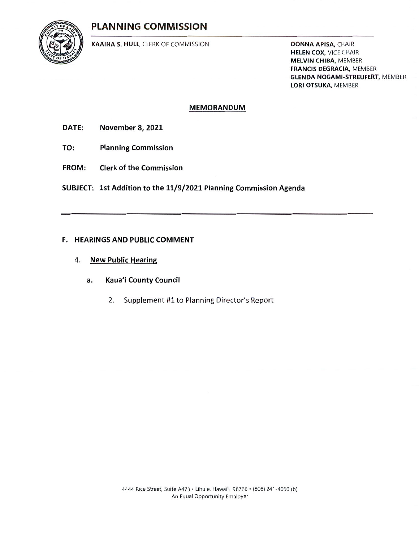# PLANNING COMMISSION



KAAINA S. HULL, CLERK OF COMMISSION DONNA APISA, CHAIR

HELEN COX, VICE CHAIR **MELVIN CHIBA, MEMBER** FRANCIS DEGRACIA, MEMBER GLENDA NOGAMI-STREUFERT, MEMBER LORI OTSUKA, MEMBER

#### MEMORANDUM

- DATE: November 8, 2021
- TO: Planning Commission
- FROM: Clerk of the Commission

SUBJECT: 1st Addition to the 11/9/2021 Planning Commission Agenda

## F. HEARINGS AND PUBLIC COMMENT

- 4. New Public Hearing
	- a. Kaua'i County Council
		- 2. Supplement #1 to Planning Director's Report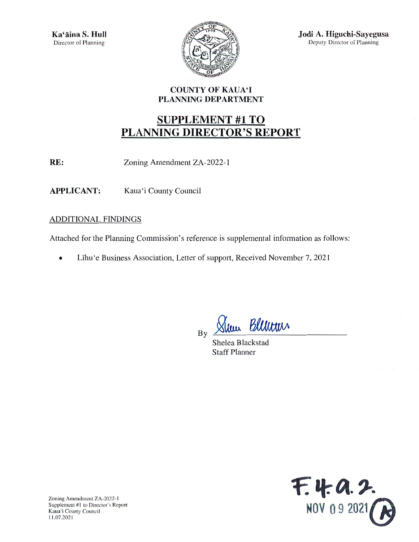

Jodi A. Higuchi-Sayegusa Deputy Director of Planning

# COUNTY OF KAUA'I PLANNING DEPARTMENT

# SUPPLEMENT #1 TO PLANNING DIRECTOR'S REPORT

RE: Zoning Amendment ZA-2022-1

APPLICANT: Kaua'i County Council

## ADDITIONAL FINDINGS

Attached for the Planning Commission's reference is supplemental information as follows:

• Lihu'e Business Association, Letter of support, Received November 7, <sup>2021</sup>

By Show Blewan

Shelea Blackstad **Staff Planner** 



Zoning Amendment ZA-2022-1 Supplement #1 to Director's Report Kaua'i County Council 11.07.2021